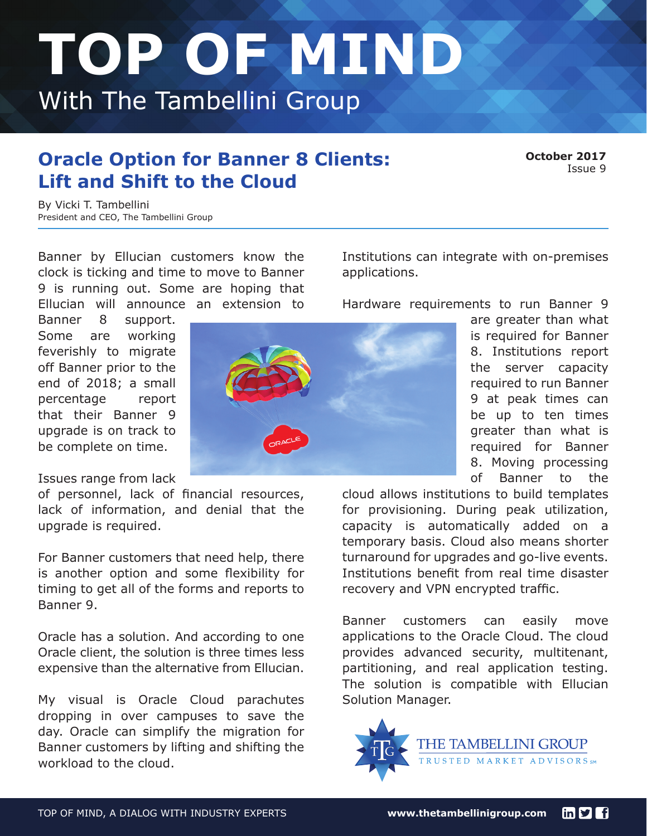## **TOP OF MIND**  With The Tambellini Group

## **Oracle Option for Banner 8 Clients:** October 2017 **Lift and Shift to the Cloud**

By Vicki T. Tambellini President and CEO, The Tambellini Group

clock is ticking and time to move to Banner applications. 9 is running out. Some are hoping that Ellucian will announce an extension to Hardware requirements to run Banner 9

Issues range from lack

of personnel, lack of financial resources, lack of information, and denial that the upgrade is required.

For Banner customers that need help, there is another option and some flexibility for timing to get all of the forms and reports to Banner 9.

Oracle has a solution. And according to one Oracle client, the solution is three times less expensive than the alternative from Ellucian.

My visual is Oracle Cloud parachutes dropping in over campuses to save the day. Oracle can simplify the migration for Banner customers by lifting and shifting the workload to the cloud.

Banner by Ellucian customers know the Institutions can integrate with on-premises

8. Moving processing of Banner to the

cloud allows institutions to build templates for provisioning. During peak utilization, capacity is automatically added on a temporary basis. Cloud also means shorter turnaround for upgrades and go-live events. Institutions benefit from real time disaster recovery and VPN encrypted traffic.

Banner customers can easily move applications to the Oracle Cloud. The cloud provides advanced security, multitenant, partitioning, and real application testing. The solution is compatible with Ellucian Solution Manager.